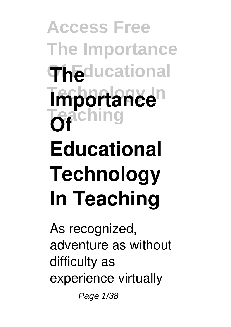**Access Free The Importance Of Educational The Importance**<sup>n</sup> **Teaching Of Educational Technology In Teaching**

As recognized, adventure as without difficulty as experience virtually

Page 1/38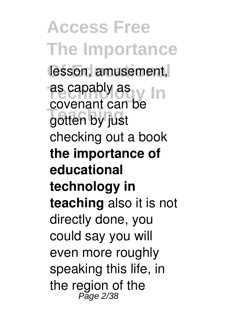**Access Free The Importance** lesson, amusement, as capably as **In** gotten by just covenant can be checking out a book **the importance of educational technology in teaching** also it is not directly done, you could say you will even more roughly speaking this life, in the region of the<br><sup>Page 2/38</sup>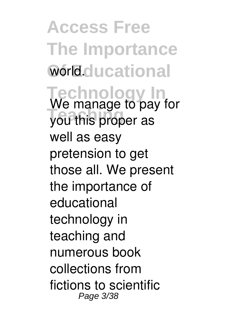**Access Free The Importance** World.clucational **Technology In** We manage to pay for **Teaching** you this proper as well as easy pretension to get those all. We present the importance of educational technology in teaching and numerous book collections from fictions to scientific Page 3/38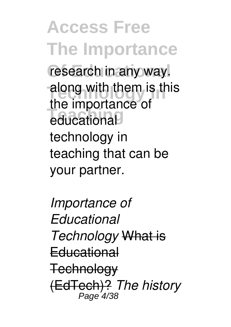**Access Free The Importance** research in any way. along with them is this **Teaching** educational the importance of technology in teaching that can be your partner.

*Importance of Educational Technology* What is **Educational Technology** (EdTech)? *The history* Page<sup>'</sup>4/3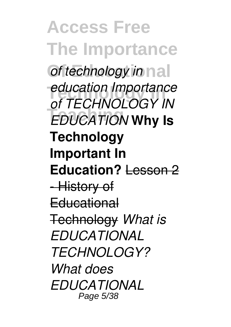**Access Free The Importance** *of technology in* nall **Technology In** *education Importance* **Teaching** *EDUCATION* **Why Is** *of TECHNOLOGY IN* **Technology Important In Education?** Lesson 2 -History of **Educational** Technology *What is EDUCATIONAL TECHNOLOGY? What does EDUCATIONAL* Page 5/38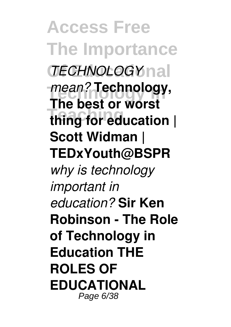**Access Free The Importance Of Educational** *TECHNOLOGY* mean? **Technology**, **Teaching thing for education | The best or worst Scott Widman | TEDxYouth@BSPR** *why is technology important in education?* **Sir Ken Robinson - The Role of Technology in Education THE ROLES OF EDUCATIONAL** Page 6/38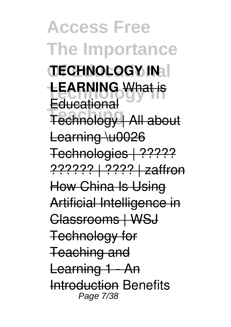**Access Free The Importance Of Educational TECHNOLOGY IN TEARNING** What is **Teaching** Technology | All about **Educational** Learning \u0026 Technologies | ????? ?????? | ???? | zaffron How China Is Using Artificial Intelligence in Classrooms | WSJ Technology for Teaching and Learning 1 - An Introduction Benefits Page 7/38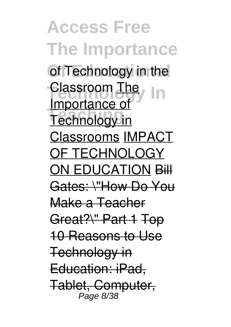**Access Free The Importance** of Technology in the **Classroom The Technology** in Importance of Classrooms IMPACT OF TECHNOLOGY ON EDUCATION Bill Gates: \"How Do You Make a Teacher Great?\" Part 1 Top 10 Reasons to Use Technology in Education: iPad, Tablet, Computer, Page 8/38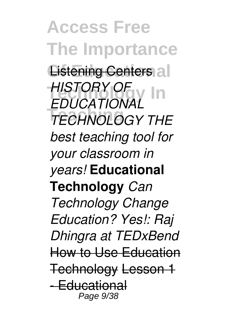**Access Free The Importance Listening Centers al Technology In** *HISTORY OF* **Teaching** *TECHNOLOGY THE EDUCATIONAL best teaching tool for your classroom in years!* **Educational Technology** *Can Technology Change Education? Yes!: Raj Dhingra at TEDxBend* How to Use Education Technology Lesson 1 - Educational Page 9/38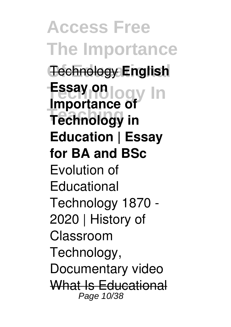**Access Free The Importance Of Educational** Technology **English Fesay on** logy In **Teaching Technology in Importance of Education | Essay for BA and BSc** Evolution of **Educational** Technology 1870 - 2020 | History of Classroom Technology, Documentary video What Is Educational Page 10/38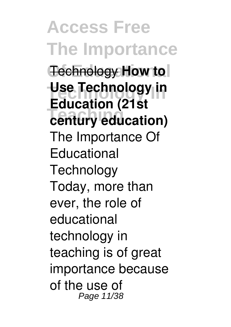**Access Free The Importance Technology How to Technology In Use Technology in Teaching century education) Education (21st** The Importance Of **Educational Technology** Today, more than ever, the role of educational technology in teaching is of great importance because of the use of Page 11/38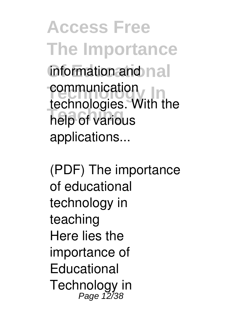**Access Free The Importance** information and nall **Communication Teaching** help of various technologies. With the applications...

(PDF) The importance of educational technology in teaching Here lies the importance of **Educational** Technology in<br>Page 12/38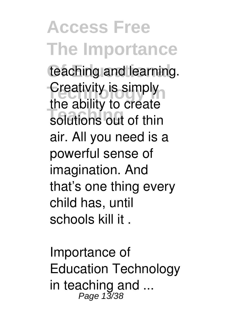**Access Free The Importance** teaching and learning. **Creativity is simply Teaching** solutions out of thin the ability to create air. All you need is a powerful sense of imagination. And that's one thing every child has, until schools kill it .

Importance of Education Technology in teaching and ...<br>  $Page 13/38$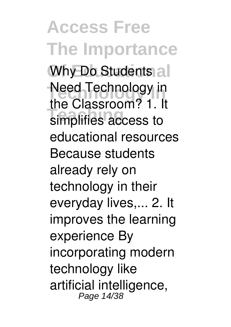**Access Free The Importance Why Do Students all** Need Technology in **The Supersonning** the Classroom? 1. It educational resources Because students already rely on technology in their everyday lives,... 2. It improves the learning experience By incorporating modern technology like artificial intelligence, Page 14/38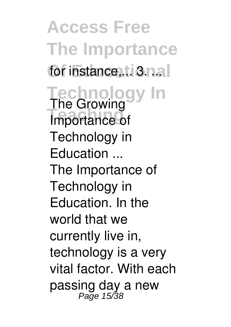**Access Free The Importance** for instance,... 3. n.a. **Technology In** The Growing **Importance of** Technology in Education ... The Importance of Technology in Education. In the world that we currently live in, technology is a very vital factor. With each passing day a new<br>Page 15/38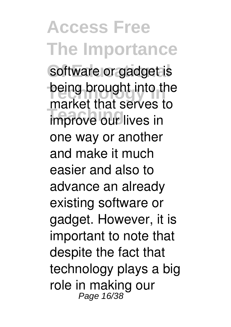**Access Free The Importance** software or gadget is being brought into the **Thankst that serves** market that serves to one way or another and make it much easier and also to advance an already existing software or gadget. However, it is important to note that despite the fact that technology plays a big role in making our Page 16/38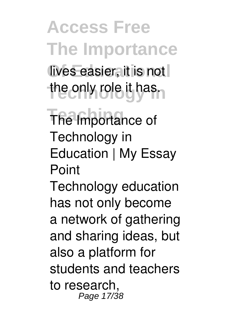**Access Free The Importance Of Educational** lives easier, it is not the only role it has.

**The Importance of** Technology in Education | My Essay Point

Technology education has not only become a network of gathering and sharing ideas, but also a platform for students and teachers to research, Page 17/38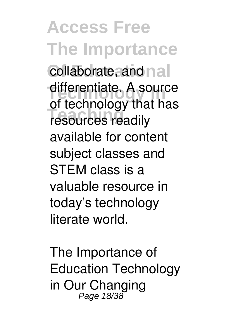**Access Free The Importance** collaborate, and nall differentiate. A source **Teaching** resources readily of technology that has available for content subject classes and STEM class is a valuable resource in today's technology literate world.

The Importance of Education Technology in Our Changing Page 18/38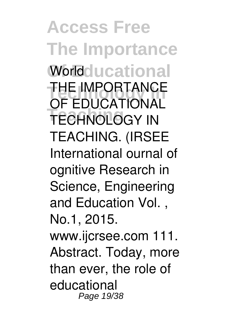**Access Free The Importance Worldclucational THE IMPORTANCE TECHNOLOGY IN** OF EDUCATIONAL TEACHING. (IRSEE International ournal of ognitive Research in Science, Engineering and Education Vol. , No.1, 2015. www.ijcrsee.com 111. Abstract. Today, more than ever, the role of educational Page 19/38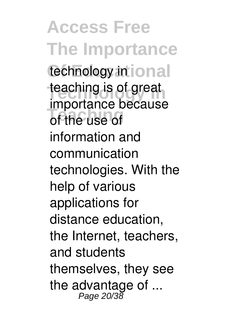**Access Free The Importance** technology in  $\overline{\text{ional}}$ teaching is of great **Teaching** of the use of importance because information and communication technologies. With the help of various applications for distance education, the Internet, teachers, and students themselves, they see the advantage of  $\ldots$ <br>Page 20/38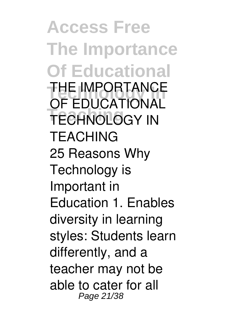**Access Free The Importance Of Educational THE IMPORTANCE TECHNOLOGY IN** OF EDUCATIONAL TEACHING 25 Reasons Why Technology is Important in Education 1. Enables diversity in learning styles: Students learn differently, and a teacher may not be able to cater for all Page 21/38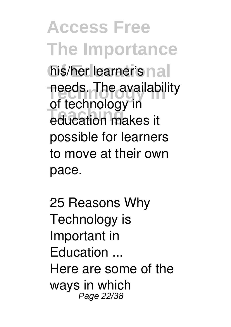**Access Free The Importance** his/her learner's nall needs. The availability **Teaching** education makes it of technology in possible for learners to move at their own pace.

25 Reasons Why Technology is Important in Education ... Here are some of the ways in which Page 22/38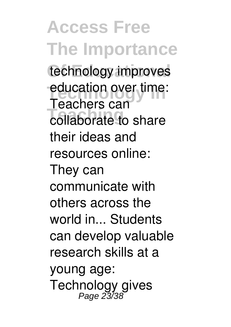**Access Free The Importance** technology improves education over time: **Teaching** collaborate to share Teachers can their ideas and resources online: They can communicate with others across the world in... Students can develop valuable research skills at a young age: Technology gives<br>Page 23/38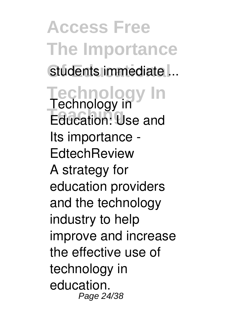**Access Free The Importance** students immediate ... **Technology In** Technology in **Teaching** Education: Use and Its importance - **EdtechReview** A strategy for education providers and the technology industry to help improve and increase the effective use of technology in education. Page 24/38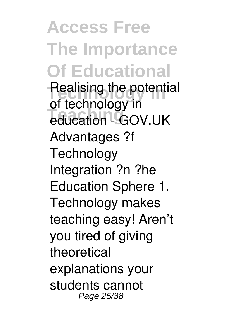**Access Free The Importance Of Educational** Realising the potential education - GOV.UK of technology in Advantages ?f **Technology** Integration ?n ?he Education Sphere 1. Technology makes teaching easy! Aren't you tired of giving theoretical explanations your students cannot Page 25/38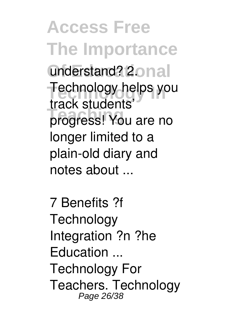**Access Free The Importance** understand? 2onal Technology helps you **Teaching** progress! You are no track students' longer limited to a plain-old diary and notes about ...

7 Benefits ?f **Technology** Integration ?n ?he Education ... Technology For Teachers. Technology Page 26/38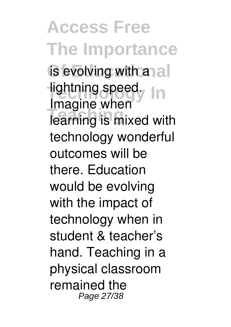**Access Free The Importance** is evolving with anal **Tightning speed.** In **Teaching** learning is mixed with Imagine when technology wonderful outcomes will be there. Education would be evolving with the impact of technology when in student & teacher's hand. Teaching in a physical classroom remained the Page 27/38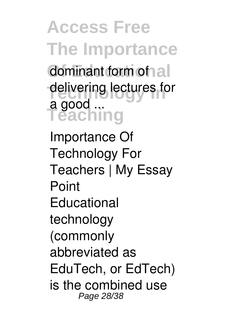**Access Free The Importance** dominant form of all delivering lectures for **Teaching** a good ...

Importance Of Technology For Teachers | My Essay Point **Educational** technology (commonly abbreviated as EduTech, or EdTech) is the combined use Page 28/38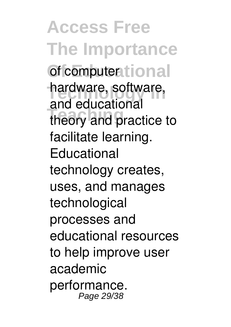**Access Free The Importance** of computer<sub>tional</sub> hardware, software, theory and practice to and educational facilitate learning. **Educational** technology creates, uses, and manages technological processes and educational resources to help improve user academic performance. Page 29/38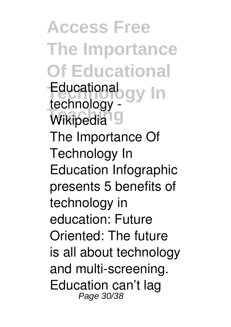**Access Free The Importance Of Educational Technology In** Educational Wikipedia<sup>10</sup> technology - The Importance Of Technology In Education Infographic presents 5 benefits of technology in education: Future Oriented: The future is all about technology and multi-screening. Education can't lag Page 30/38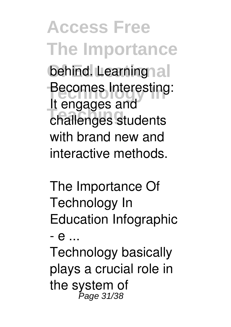**Access Free The Importance** behind. Learning al Becomes Interesting: **Teaching** challenges students It engages and with brand new and interactive methods.

The Importance Of Technology In Education Infographic - e ... Technology basically

plays a crucial role in the system of<br><sup>Page 31/38</sup>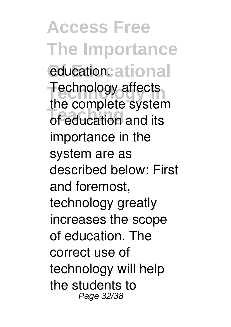**Access Free The Importance** educationcational **Technology affects The semplete system** the complete system importance in the system are as described below: First and foremost, technology greatly increases the scope of education. The correct use of technology will help the students to Page 32/38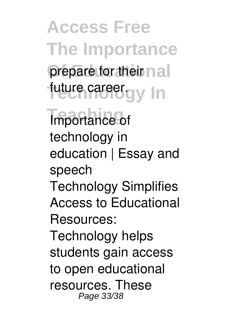**Access Free The Importance** prepare for their nall future career.gy In

**Importance of** technology in education | Essay and speech Technology Simplifies Access to Educational Resources: Technology helps students gain access to open educational resources. These Page 33/38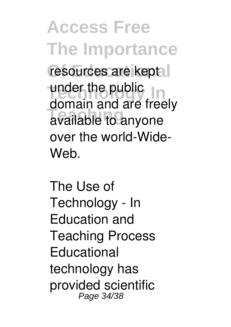**Access Free The Importance** resources are kept under the public<br>demain and are treat available to anyone domain and are freely over the world-Wide-Web.

The Use of Technology - In Education and Teaching Process **Educational** technology has provided scientific Page 34/38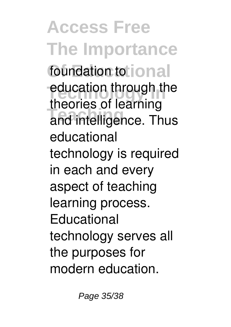**Access Free The Importance** foundation to **ional** education through the and intelligence. Thus theories of learning educational technology is required in each and every aspect of teaching learning process. **Educational** technology serves all the purposes for modern education.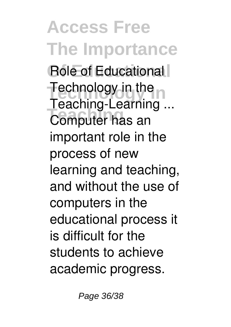**Access Free The Importance** Role of Educational **Technology in the Teaching** Computer has an Teaching-Learning ... important role in the process of new learning and teaching, and without the use of computers in the educational process it is difficult for the students to achieve academic progress.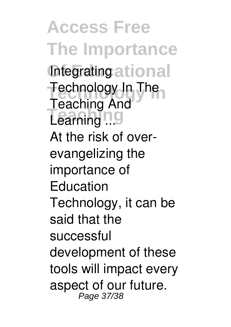**Access Free The Importance Integrating ational Technology In** Technology In The Learning<sup>n</sup> Teaching And At the risk of overevangelizing the importance of Education Technology, it can be said that the successful development of these tools will impact every aspect of our future. Page 37/38